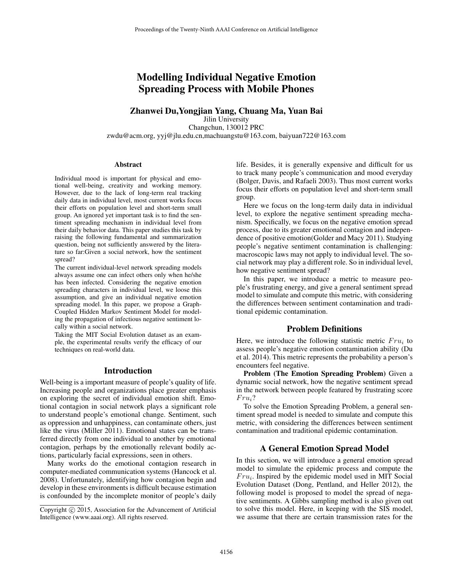# Modelling Individual Negative Emotion Spreading Process with Mobile Phones

### Zhanwei Du,Yongjian Yang, Chuang Ma, Yuan Bai

Jilin University Changchun, 130012 PRC zwdu@acm.org, yyj@jlu.edu.cn,machuangstu@163.com, baiyuan722@163.com

#### Abstract

Individual mood is important for physical and emotional well-being, creativity and working memory. However, due to the lack of long-term real tracking daily data in individual level, most current works focus their efforts on population level and short-term small group. An ignored yet important task is to find the sentiment spreading mechanism in individual level from their daily behavior data. This paper studies this task by raising the following fundamental and summarization question, being not sufficiently answered by the literature so far:Given a social network, how the sentiment spread?

The current individual-level network spreading models always assume one can infect others only when he/she has been infected. Considering the negative emotion spreading characters in individual level, we loose this assumption, and give an individual negative emotion spreading model. In this paper, we propose a Graph-Coupled Hidden Markov Sentiment Model for modeling the propagation of infectious negative sentiment locally within a social network.

Taking the MIT Social Evolution dataset as an example, the experimental results verify the efficacy of our techniques on real-world data.

### Introduction

Well-being is a important measure of people's quality of life. Increasing people and organizations place greater emphasis on exploring the secret of individual emotion shift. Emotional contagion in social network plays a significant role to understand people's emotional change. Sentiment, such as oppression and unhappiness, can contaminate others, just like the virus (Miller 2011). Emotional states can be transferred directly from one individual to another by emotional contagion, perhaps by the emotionally relevant bodily actions, particularly facial expressions, seen in others.

Many works do the emotional contagion research in computer-mediated communication systems (Hancock et al. 2008). Unfortunately, identifying how contagion begin and develop in these environments is difficult because estimation is confounded by the incomplete monitor of people's daily

life. Besides, it is generally expensive and difficult for us to track many people's communication and mood everyday (Bolger, Davis, and Rafaeli 2003). Thus most current works focus their efforts on population level and short-term small group.

Here we focus on the long-term daily data in individual level, to explore the negative sentiment spreading mechanism. Specifically, we focus on the negative emotion spread process, due to its greater emotional contagion and independence of positive emotion(Golder and Macy 2011). Studying people's negative sentiment contamination is challenging: macroscopic laws may not apply to individual level. The social network may play a different role. So in individual level, how negative sentiment spread?

In this paper, we introduce a metric to measure people's frustrating energy, and give a general sentiment spread model to simulate and compute this metric, with considering the differences between sentiment contamination and traditional epidemic contamination.

# Problem Definitions

Here, we introduce the following statistic metric  $Fru_i$  to assess people's negative emotion contamination ability (Du et al. 2014). This metric represents the probability a person's encounters feel negative.

Problem (The Emotion Spreading Problem) Given a dynamic social network, how the negative sentiment spread in the network between people featured by frustrating score  $Fru_i?$ 

To solve the Emotion Spreading Problem, a general sentiment spread model is needed to simulate and compute this metric, with considering the differences between sentiment contamination and traditional epidemic contamination.

## A General Emotion Spread Model

In this section, we will introduce a general emotion spread model to simulate the epidemic process and compute the  $Fru_i$ . Inspired by the epidemic model used in MIT Social Evolution Dataset (Dong, Pentland, and Heller 2012), the following model is proposed to model the spread of negative sentiments. A Gibbs sampling method is also given out to solve this model. Here, in keeping with the SIS model, we assume that there are certain transmission rates for the

Copyright (c) 2015, Association for the Advancement of Artificial Intelligence (www.aaai.org). All rights reserved.